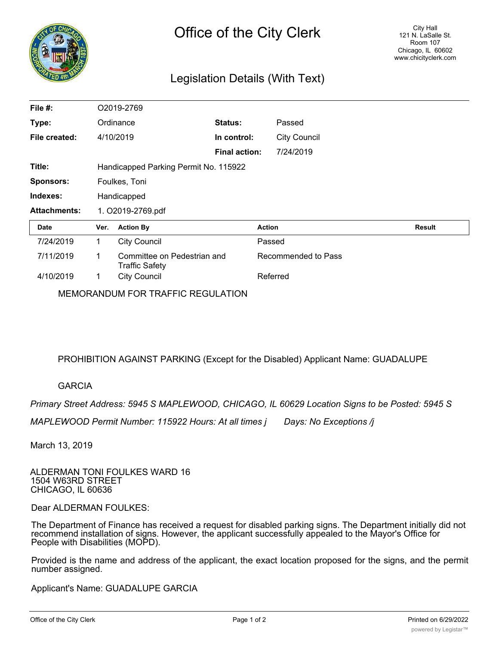

## Legislation Details (With Text)

| File #:             | O2019-2769                            |                                                      |                      |               |                     |               |
|---------------------|---------------------------------------|------------------------------------------------------|----------------------|---------------|---------------------|---------------|
| Type:               |                                       | <b>Status:</b><br>Ordinance                          |                      |               | Passed              |               |
| File created:       |                                       | 4/10/2019                                            | In control:          |               | <b>City Council</b> |               |
|                     |                                       |                                                      | <b>Final action:</b> |               | 7/24/2019           |               |
| Title:              | Handicapped Parking Permit No. 115922 |                                                      |                      |               |                     |               |
| <b>Sponsors:</b>    | Foulkes, Toni                         |                                                      |                      |               |                     |               |
| Indexes:            | Handicapped                           |                                                      |                      |               |                     |               |
| <b>Attachments:</b> | 1. O2019-2769.pdf                     |                                                      |                      |               |                     |               |
| <b>Date</b>         | Ver.                                  | <b>Action By</b>                                     |                      | <b>Action</b> |                     | <b>Result</b> |
| 7/24/2019           | $\mathbf{1}$                          | <b>City Council</b>                                  |                      | Passed        |                     |               |
| 7/11/2019           | 1                                     | Committee on Pedestrian and<br><b>Traffic Safety</b> |                      |               | Recommended to Pass |               |
| 4/10/2019           | 1                                     | <b>City Council</b>                                  |                      | Referred      |                     |               |

MEMORANDUM FOR TRAFFIC REGULATION

PROHIBITION AGAINST PARKING (Except for the Disabled) Applicant Name: GUADALUPE

## GARCIA

*Primary Street Address: 5945 S MAPLEWOOD, CHICAGO, IL 60629 Location Signs to be Posted: 5945 S*

*MAPLEWOOD Permit Number: 115922 Hours: At all times j Days: No Exceptions /j*

March 13, 2019

ALDERMAN TONI FOULKES WARD 16 1504 W63RD STREET CHICAGO, IL 60636

Dear ALDERMAN FOULKES:

The Department of Finance has received a request for disabled parking signs. The Department initially did not recommend installation of signs. However, the applicant successfully appealed to the Mayor's Office for People with Disabilities (MOPD).

Provided is the name and address of the applicant, the exact location proposed for the signs, and the permit number assigned.

Applicant's Name: GUADALUPE GARCIA